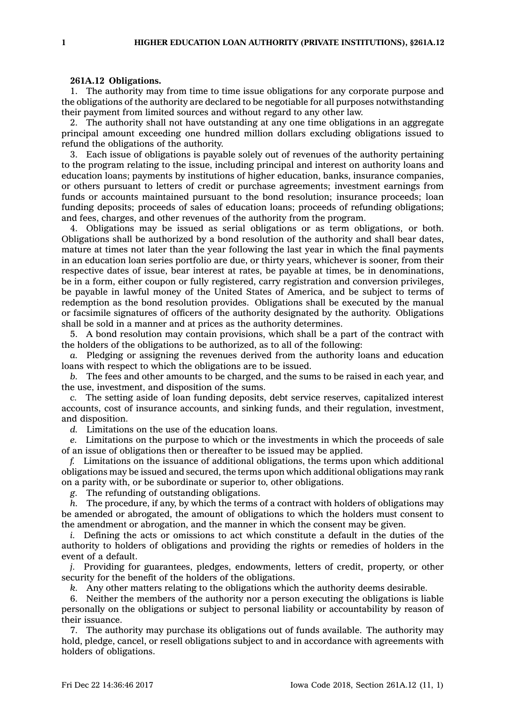## **261A.12 Obligations.**

1. The authority may from time to time issue obligations for any corporate purpose and the obligations of the authority are declared to be negotiable for all purposes notwithstanding their payment from limited sources and without regard to any other law.

2. The authority shall not have outstanding at any one time obligations in an aggregate principal amount exceeding one hundred million dollars excluding obligations issued to refund the obligations of the authority.

3. Each issue of obligations is payable solely out of revenues of the authority pertaining to the program relating to the issue, including principal and interest on authority loans and education loans; payments by institutions of higher education, banks, insurance companies, or others pursuant to letters of credit or purchase agreements; investment earnings from funds or accounts maintained pursuant to the bond resolution; insurance proceeds; loan funding deposits; proceeds of sales of education loans; proceeds of refunding obligations; and fees, charges, and other revenues of the authority from the program.

4. Obligations may be issued as serial obligations or as term obligations, or both. Obligations shall be authorized by <sup>a</sup> bond resolution of the authority and shall bear dates, mature at times not later than the year following the last year in which the final payments in an education loan series portfolio are due, or thirty years, whichever is sooner, from their respective dates of issue, bear interest at rates, be payable at times, be in denominations, be in <sup>a</sup> form, either coupon or fully registered, carry registration and conversion privileges, be payable in lawful money of the United States of America, and be subject to terms of redemption as the bond resolution provides. Obligations shall be executed by the manual or facsimile signatures of officers of the authority designated by the authority. Obligations shall be sold in <sup>a</sup> manner and at prices as the authority determines.

5. A bond resolution may contain provisions, which shall be <sup>a</sup> part of the contract with the holders of the obligations to be authorized, as to all of the following:

*a.* Pledging or assigning the revenues derived from the authority loans and education loans with respect to which the obligations are to be issued.

*b.* The fees and other amounts to be charged, and the sums to be raised in each year, and the use, investment, and disposition of the sums.

*c.* The setting aside of loan funding deposits, debt service reserves, capitalized interest accounts, cost of insurance accounts, and sinking funds, and their regulation, investment, and disposition.

*d.* Limitations on the use of the education loans.

*e.* Limitations on the purpose to which or the investments in which the proceeds of sale of an issue of obligations then or thereafter to be issued may be applied.

*f.* Limitations on the issuance of additional obligations, the terms upon which additional obligations may be issued and secured, the terms upon which additional obligations may rank on <sup>a</sup> parity with, or be subordinate or superior to, other obligations.

*g.* The refunding of outstanding obligations.

*h.* The procedure, if any, by which the terms of <sup>a</sup> contract with holders of obligations may be amended or abrogated, the amount of obligations to which the holders must consent to the amendment or abrogation, and the manner in which the consent may be given.

*i.* Defining the acts or omissions to act which constitute <sup>a</sup> default in the duties of the authority to holders of obligations and providing the rights or remedies of holders in the event of <sup>a</sup> default.

*j.* Providing for guarantees, pledges, endowments, letters of credit, property, or other security for the benefit of the holders of the obligations.

*k.* Any other matters relating to the obligations which the authority deems desirable.

6. Neither the members of the authority nor <sup>a</sup> person executing the obligations is liable personally on the obligations or subject to personal liability or accountability by reason of their issuance.

7. The authority may purchase its obligations out of funds available. The authority may hold, pledge, cancel, or resell obligations subject to and in accordance with agreements with holders of obligations.